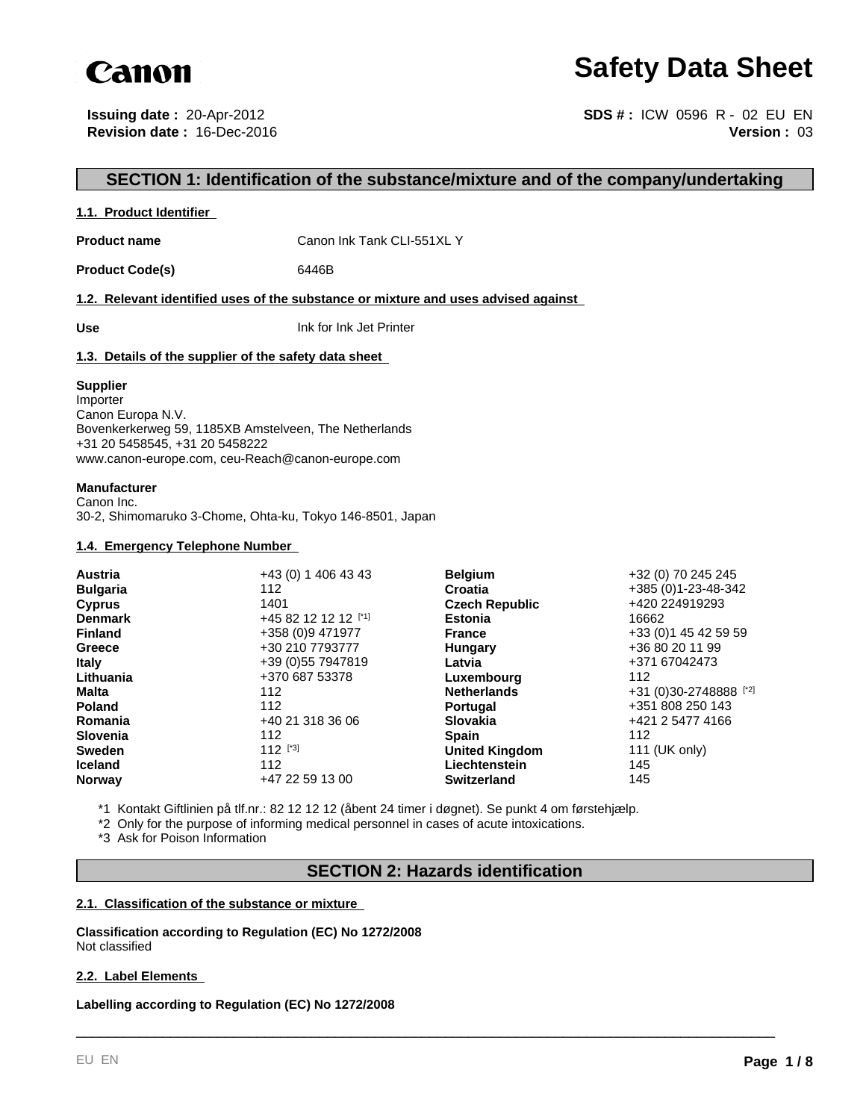

# **Safety Data Sheet**

**Issuing date :** 20-Apr-2012 **Revision date :** 16-Dec-2016

**Version :** 03 **SDS # :** ICW 0596 R - 02 EU EN

## **SECTION 1: Identification of the substance/mixture and of the company/undertaking**

## **1.1. Product Identifier**

**Product name** Canon Ink Tank CLI-551XL Y

Product Code(s) 6446B

**1.2. Relevant identified uses of the substance or mixture and uses advised against** 

**Use** Ink for Ink Jet Printer

## **1.3. Details of the supplier of the safety data sheet**

#### **Supplier**

Importer Canon Europa N.V. Bovenkerkerweg 59, 1185XB Amstelveen, The Netherlands +31 20 5458545, +31 20 5458222 www.canon-europe.com, ceu-Reach@canon-europe.com

#### **Manufacturer**

Canon Inc. 30-2, Shimomaruko 3-Chome, Ohta-ku, Tokyo 146-8501, Japan

## **1.4. Emergency Telephone Number**

| <b>Austria</b>  | +43 (0) 1 406 43 43  | <b>Belgium</b>        | +32 (0) 70 245 245     |
|-----------------|----------------------|-----------------------|------------------------|
| <b>Bulgaria</b> | 112                  | Croatia               | +385 (0)1-23-48-342    |
| <b>Cyprus</b>   | 1401                 | <b>Czech Republic</b> | +420 224919293         |
| <b>Denmark</b>  | +45 82 12 12 12 [*1] | <b>Estonia</b>        | 16662                  |
| <b>Finland</b>  | +358 (0)9 471977     | <b>France</b>         | +33 (0) 1 45 42 59 59  |
| Greece          | +30 210 7793777      | Hungary               | +36 80 20 11 99        |
| <b>Italy</b>    | +39 (0) 55 7947819   | Latvia                | +371 67042473          |
| Lithuania       | +370 687 53378       | Luxembourg            | 112                    |
| <b>Malta</b>    | 112                  | <b>Netherlands</b>    | +31 (0)30-2748888 [*2] |
| <b>Poland</b>   | 112                  | <b>Portugal</b>       | +351 808 250 143       |
| Romania         | +40 21 318 36 06     | <b>Slovakia</b>       | +421 2 5477 4166       |
| <b>Slovenia</b> | 112                  | <b>Spain</b>          | 112                    |
| <b>Sweden</b>   | 112 $[^{3}]$         | <b>United Kingdom</b> | 111 (UK only)          |
| <b>Iceland</b>  | 112                  | Liechtenstein         | 145                    |
| <b>Norway</b>   | +47 22 59 13 00      | <b>Switzerland</b>    | 145                    |

\*1 Kontakt Giftlinien på tlf.nr.: 82 12 12 12 (åbent 24 timer i døgnet). Se punkt 4 om førstehjælp.

\*2 Only for the purpose of informing medical personnel in cases of acute intoxications.

\*3 Ask for Poison Information

## **SECTION 2: Hazards identification**

\_\_\_\_\_\_\_\_\_\_\_\_\_\_\_\_\_\_\_\_\_\_\_\_\_\_\_\_\_\_\_\_\_\_\_\_\_\_\_\_\_\_\_\_\_\_\_\_\_\_\_\_\_\_\_\_\_\_\_\_\_\_\_\_\_\_\_\_\_\_\_\_\_\_\_\_\_\_\_\_\_\_\_\_\_\_\_\_\_

## **2.1. Classification of the substance or mixture**

**Classification according to Regulation (EC) No 1272/2008** Not classified

## **2.2. Label Elements**

**Labelling according to Regulation (EC) No 1272/2008**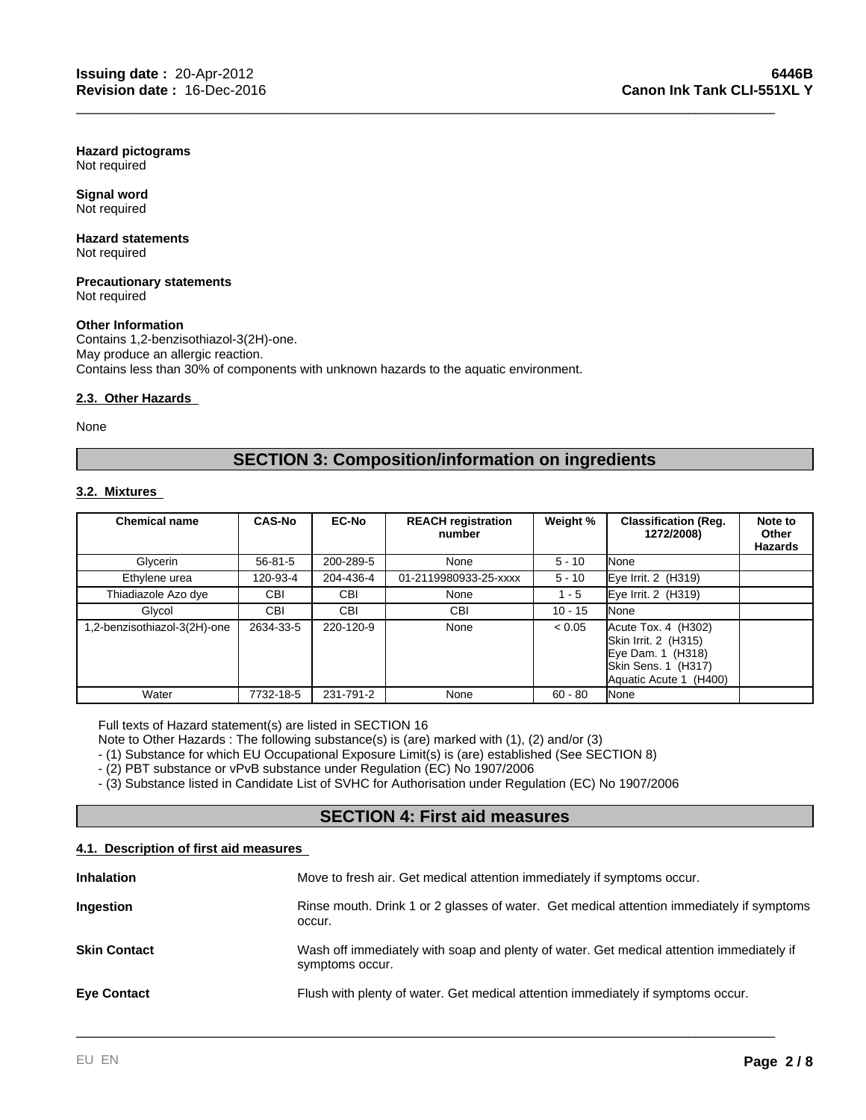**Hazard pictograms** Not required

**Signal word** Not required

#### **Hazard statements** Not required

#### **Precautionary statements** Not required

## **Other Information**

Contains 1,2-benzisothiazol-3(2H)-one. May produce an allergic reaction. Contains less than 30% of components with unknown hazards to the aquatic environment.

## **2.3. Other Hazards**

None

## **SECTION 3: Composition/information on ingredients**

\_\_\_\_\_\_\_\_\_\_\_\_\_\_\_\_\_\_\_\_\_\_\_\_\_\_\_\_\_\_\_\_\_\_\_\_\_\_\_\_\_\_\_\_\_\_\_\_\_\_\_\_\_\_\_\_\_\_\_\_\_\_\_\_\_\_\_\_\_\_\_\_\_\_\_\_\_\_\_\_\_\_\_\_\_\_\_\_\_

## **3.2. Mixtures**

| <b>Chemical name</b>        | <b>CAS-No</b> | <b>EC-No</b> | <b>REACH registration</b><br>number | Weight %  | <b>Classification (Req.</b><br>1272/2008)                                                                         | Note to<br>Other<br>Hazards |
|-----------------------------|---------------|--------------|-------------------------------------|-----------|-------------------------------------------------------------------------------------------------------------------|-----------------------------|
| Glycerin                    | $56 - 81 - 5$ | 200-289-5    | None                                | $5 - 10$  | None                                                                                                              |                             |
| Ethylene urea               | 120-93-4      | 204-436-4    | 01-2119980933-25-xxxx               | $5 - 10$  | Eye Irrit. 2 (H319)                                                                                               |                             |
| Thiadiazole Azo dye         | <b>CBI</b>    | <b>CBI</b>   | None                                | $1 - 5$   | Eye Irrit. 2 (H319)                                                                                               |                             |
| Glycol                      | CBI           | <b>CBI</b>   | <b>CBI</b>                          | $10 - 15$ | None                                                                                                              |                             |
| .2-benzisothiazol-3(2H)-one | 2634-33-5     | 220-120-9    | None                                | < 0.05    | Acute Tox. 4 (H302)<br>Skin Irrit. 2 (H315)<br>Eye Dam. 1 (H318)<br>Skin Sens. 1 (H317)<br>Aquatic Acute 1 (H400) |                             |
| Water                       | 7732-18-5     | 231-791-2    | None                                | $60 - 80$ | None                                                                                                              |                             |

Full texts of Hazard statement(s) are listed in SECTION 16

Note to Other Hazards : The following substance(s) is (are) marked with (1), (2) and/or (3)

- (1) Substance for which EU Occupational Exposure Limit(s) is (are) established (See SECTION 8)

- (2) PBT substance or vPvB substance under Regulation (EC) No 1907/2006

- (3) Substance listed in Candidate List of SVHC for Authorisation under Regulation (EC) No 1907/2006

## **SECTION 4: First aid measures**

## **4.1. Description of first aid measures**

| Move to fresh air. Get medical attention immediately if symptoms occur.                                     |
|-------------------------------------------------------------------------------------------------------------|
| Rinse mouth. Drink 1 or 2 glasses of water. Get medical attention immediately if symptoms<br>occur.         |
| Wash off immediately with soap and plenty of water. Get medical attention immediately if<br>symptoms occur. |
| Flush with plenty of water. Get medical attention immediately if symptoms occur.                            |
|                                                                                                             |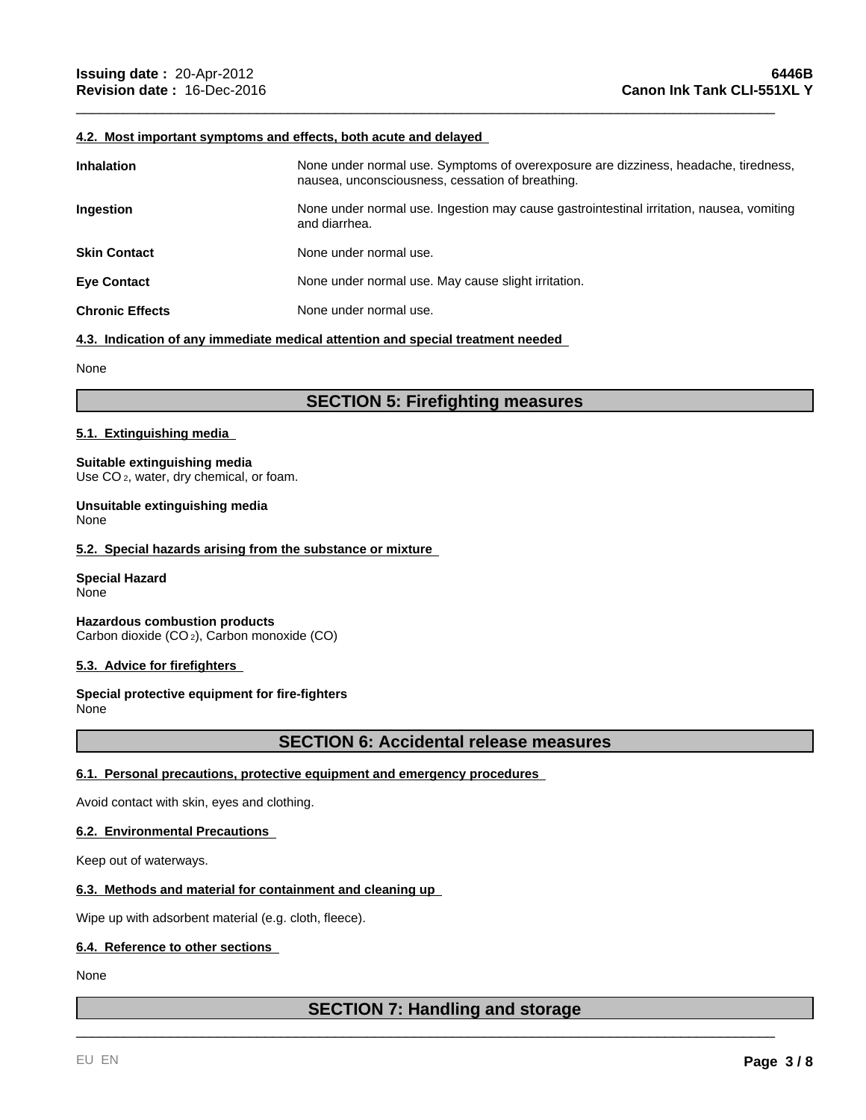## **4.2. Most important symptoms and effects, both acute and delayed**

| <b>Inhalation</b>      | None under normal use. Symptoms of overexposure are dizziness, headache, tiredness,<br>nausea, unconsciousness, cessation of breathing. |
|------------------------|-----------------------------------------------------------------------------------------------------------------------------------------|
| <b>Ingestion</b>       | None under normal use. Ingestion may cause gastrointestinal irritation, nausea, vomiting<br>and diarrhea.                               |
| <b>Skin Contact</b>    | None under normal use.                                                                                                                  |
| <b>Eye Contact</b>     | None under normal use. May cause slight irritation.                                                                                     |
| <b>Chronic Effects</b> | None under normal use.                                                                                                                  |

\_\_\_\_\_\_\_\_\_\_\_\_\_\_\_\_\_\_\_\_\_\_\_\_\_\_\_\_\_\_\_\_\_\_\_\_\_\_\_\_\_\_\_\_\_\_\_\_\_\_\_\_\_\_\_\_\_\_\_\_\_\_\_\_\_\_\_\_\_\_\_\_\_\_\_\_\_\_\_\_\_\_\_\_\_\_\_\_\_

#### **4.3. Indication of any immediate medical attention and special treatment needed**

None

## **SECTION 5: Firefighting measures**

#### **5.1. Extinguishing media**

**Suitable extinguishing media** Use CO<sub>2</sub>, water, dry chemical, or foam.

**Unsuitable extinguishing media** None

#### **5.2. Special hazards arising from the substance or mixture**

**Special Hazard** None

**Hazardous combustion products** Carbon dioxide (CO 2), Carbon monoxide (CO)

#### **5.3. Advice for firefighters**

**Special protective equipment for fire-fighters** None

## **SECTION 6: Accidental release measures**

## **6.1. Personal precautions, protective equipment and emergency procedures**

Avoid contact with skin, eyes and clothing.

## **6.2. Environmental Precautions**

Keep out of waterways.

## **6.3. Methods and material for containment and cleaning up**

Wipe up with adsorbent material (e.g. cloth, fleece).

## **6.4. Reference to other sections**

None

## **SECTION 7: Handling and storage**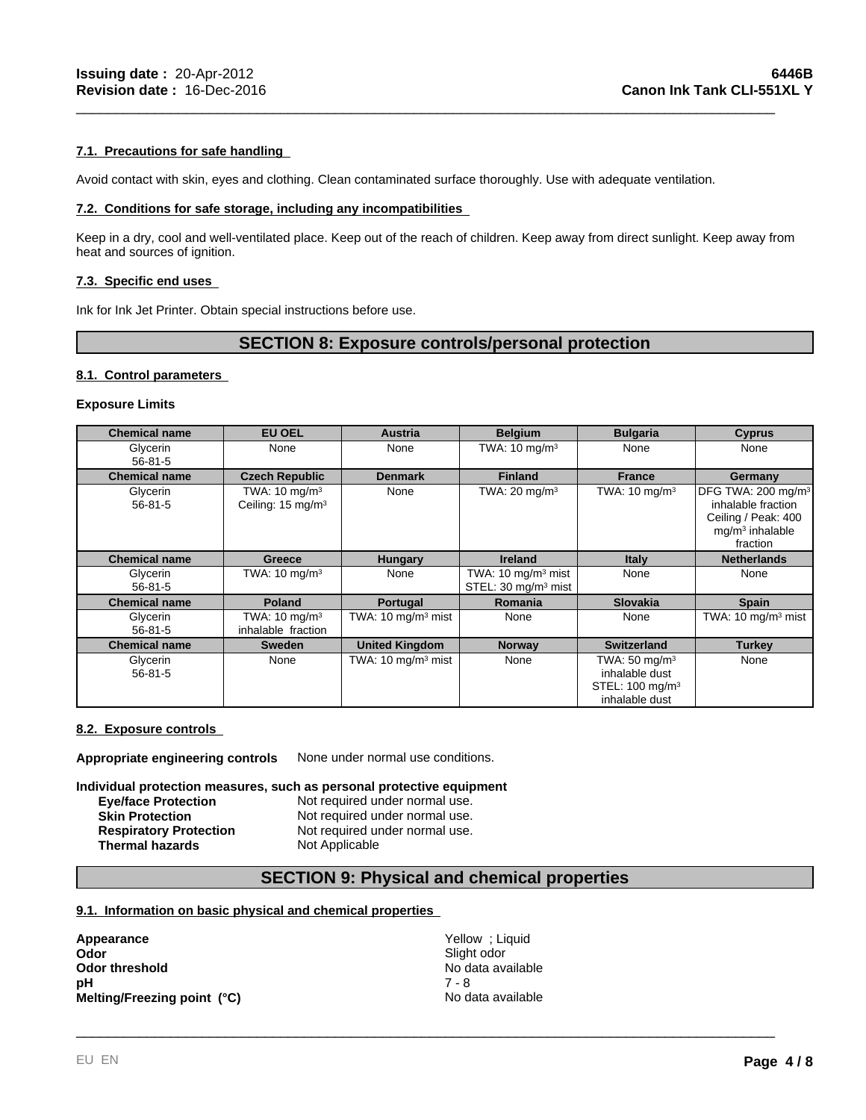## **7.1. Precautions for safe handling**

Avoid contact with skin, eyes and clothing. Clean contaminated surface thoroughly. Use with adequate ventilation.

## **7.2. Conditions for safe storage, including any incompatibilities**

Keep in a dry, cool and well-ventilated place. Keep out of the reach of children. Keep away from direct sunlight. Keep away from heat and sources of ignition.

\_\_\_\_\_\_\_\_\_\_\_\_\_\_\_\_\_\_\_\_\_\_\_\_\_\_\_\_\_\_\_\_\_\_\_\_\_\_\_\_\_\_\_\_\_\_\_\_\_\_\_\_\_\_\_\_\_\_\_\_\_\_\_\_\_\_\_\_\_\_\_\_\_\_\_\_\_\_\_\_\_\_\_\_\_\_\_\_\_

## **7.3. Specific end uses**

Ink for Ink Jet Printer. Obtain special instructions before use.

## **SECTION 8: Exposure controls/personal protection**

#### **8.1. Control parameters**

## **Exposure Limits**

| <b>Chemical name</b>      | <b>EU OEL</b>                                             | Austria                        | <b>Belgium</b>                                                   | <b>Bulgaria</b>                                                                             | <b>Cyprus</b>                                                                                                |
|---------------------------|-----------------------------------------------------------|--------------------------------|------------------------------------------------------------------|---------------------------------------------------------------------------------------------|--------------------------------------------------------------------------------------------------------------|
| Glycerin<br>$56 - 81 - 5$ | None                                                      | None                           | TWA: $10 \text{ mg/m}^3$                                         | None                                                                                        | None                                                                                                         |
| <b>Chemical name</b>      | <b>Czech Republic</b>                                     | <b>Denmark</b>                 | <b>Finland</b>                                                   | <b>France</b>                                                                               | Germany                                                                                                      |
| Glycerin<br>$56 - 81 - 5$ | TWA: $10 \text{ mg/m}^3$<br>Ceiling: 15 mg/m <sup>3</sup> | None                           | TWA: $20 \text{ mg/m}^3$                                         | TWA: $10 \text{ mg/m}^3$                                                                    | DFG TWA: 200 mg/m <sup>3</sup><br>inhalable fraction<br>Ceiling / Peak: 400<br>$mq/m3$ inhalable<br>fraction |
| <b>Chemical name</b>      | Greece                                                    | <b>Hungary</b>                 | <b>Ireland</b>                                                   | <b>Italy</b>                                                                                | <b>Netherlands</b>                                                                                           |
| Glycerin<br>$56 - 81 - 5$ | TWA: $10 \text{ mg/m}^3$                                  | None                           | TWA: $10 \text{ mg/m}^3$ mist<br>STEL: 30 mg/m <sup>3</sup> mist | None                                                                                        | None                                                                                                         |
| <b>Chemical name</b>      | <b>Poland</b>                                             | Portugal                       | <b>Romania</b>                                                   | <b>Slovakia</b>                                                                             | <b>Spain</b>                                                                                                 |
| Glycerin<br>$56 - 81 - 5$ | TWA: $10 \text{ mg/m}^3$<br>inhalable fraction            | TWA: $10 \text{ mg/m}^3$ mist  | None                                                             | None                                                                                        | TWA: $10 \text{ mg/m}^3$ mist                                                                                |
| <b>Chemical name</b>      | <b>Sweden</b>                                             | <b>United Kingdom</b>          | <b>Norway</b>                                                    | <b>Switzerland</b>                                                                          | Turkey                                                                                                       |
| Glycerin<br>$56 - 81 - 5$ | None                                                      | TWA: 10 mg/m <sup>3</sup> mist | None                                                             | TWA: $50 \text{ mg/m}^3$<br>inhalable dust<br>STEL: 100 mg/m <sup>3</sup><br>inhalable dust | None                                                                                                         |

#### **8.2. Exposure controls**

**Appropriate engineering controls** None under normal use conditions.

## **Individual protection measures, such as personal protective equipment**

**Eye/face Protection Not required under normal use.**<br> **Skin Protection Not required under normal use.** Not required under normal use. **Respiratory Protection** Not required under normal use. **Thermal hazards** Not Applicable

## **SECTION 9: Physical and chemical properties**

## **9.1. Information on basic physical and chemical properties**

| Appearance                  | Yellow; Liquid    |
|-----------------------------|-------------------|
| Odor                        | Slight odor       |
| Odor threshold              | No data available |
| pН                          | 7 - 8             |
| Melting/Freezing point (°C) | No data available |
|                             |                   |
|                             |                   |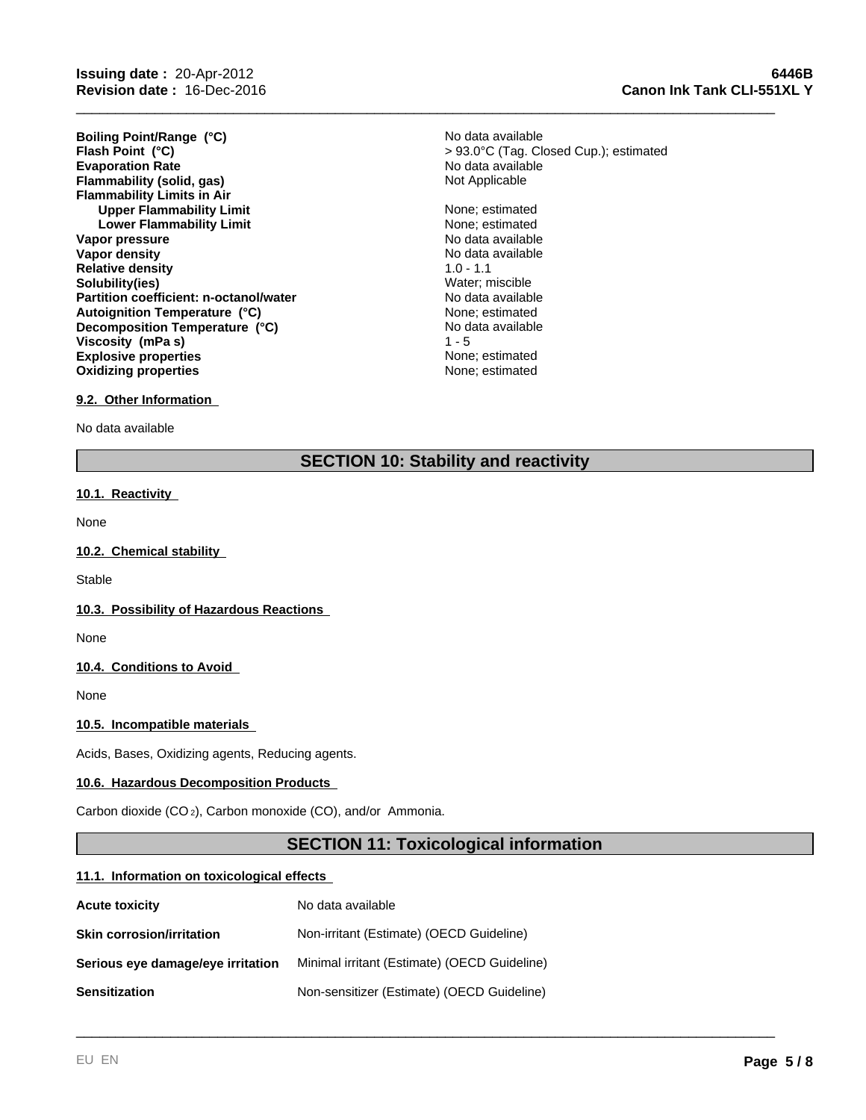**Evaporation Rate Evaporation Rate Evaporation Rate No data available Flammability (solid, gas) Not Applicable Flammability (solid, gas) Flammability Limits in Air Upper Flammability Limit** None; estimated None; estimated None; estimated None; estimated None; estimated None; estimated None; estimated None; estimated None; estimated None; estimated None; estimated None; estimated Non **Lower Flammability Limit Vapor pressure** No data available No data available **Vapor density**  $\blacksquare$  No data available **Relative density** 1.0 - 1.1 **Solubility(ies)** Water; miscible **Partition coefficient: n-octanol/water** No data available **Explosive properties None**; estimated **Oxidizing properties None; estimated None; estimated Decomposition Temperature (°C) Flash Point (°C) Viscosity (mPa s) Boiling Point/Range (°C) Autoignition Temperature (°C)**

None; estimated No data available > 93.0°C (Tag. Closed Cup.); estimated No data available

\_\_\_\_\_\_\_\_\_\_\_\_\_\_\_\_\_\_\_\_\_\_\_\_\_\_\_\_\_\_\_\_\_\_\_\_\_\_\_\_\_\_\_\_\_\_\_\_\_\_\_\_\_\_\_\_\_\_\_\_\_\_\_\_\_\_\_\_\_\_\_\_\_\_\_\_\_\_\_\_\_\_\_\_\_\_\_\_\_

#### **9.2. Other Information**

No data available

## **SECTION 10: Stability and reactivity**

 $1 - 5$ 

## **10.1. Reactivity**

None

## **10.2. Chemical stability**

**Stable** 

## **10.3. Possibility of Hazardous Reactions**

None

## **10.4. Conditions to Avoid**

None

## **10.5. Incompatible materials**

Acids, Bases, Oxidizing agents, Reducing agents.

#### **10.6. Hazardous Decomposition Products**

Carbon dioxide (CO 2), Carbon monoxide (CO), and/or Ammonia.

## **SECTION 11: Toxicological information**

\_\_\_\_\_\_\_\_\_\_\_\_\_\_\_\_\_\_\_\_\_\_\_\_\_\_\_\_\_\_\_\_\_\_\_\_\_\_\_\_\_\_\_\_\_\_\_\_\_\_\_\_\_\_\_\_\_\_\_\_\_\_\_\_\_\_\_\_\_\_\_\_\_\_\_\_\_\_\_\_\_\_\_\_\_\_\_\_\_

#### **11.1. Information on toxicological effects**

| <b>Acute toxicity</b>             | No data available                            |
|-----------------------------------|----------------------------------------------|
| <b>Skin corrosion/irritation</b>  | Non-irritant (Estimate) (OECD Guideline)     |
| Serious eye damage/eye irritation | Minimal irritant (Estimate) (OECD Guideline) |
| <b>Sensitization</b>              | Non-sensitizer (Estimate) (OECD Guideline)   |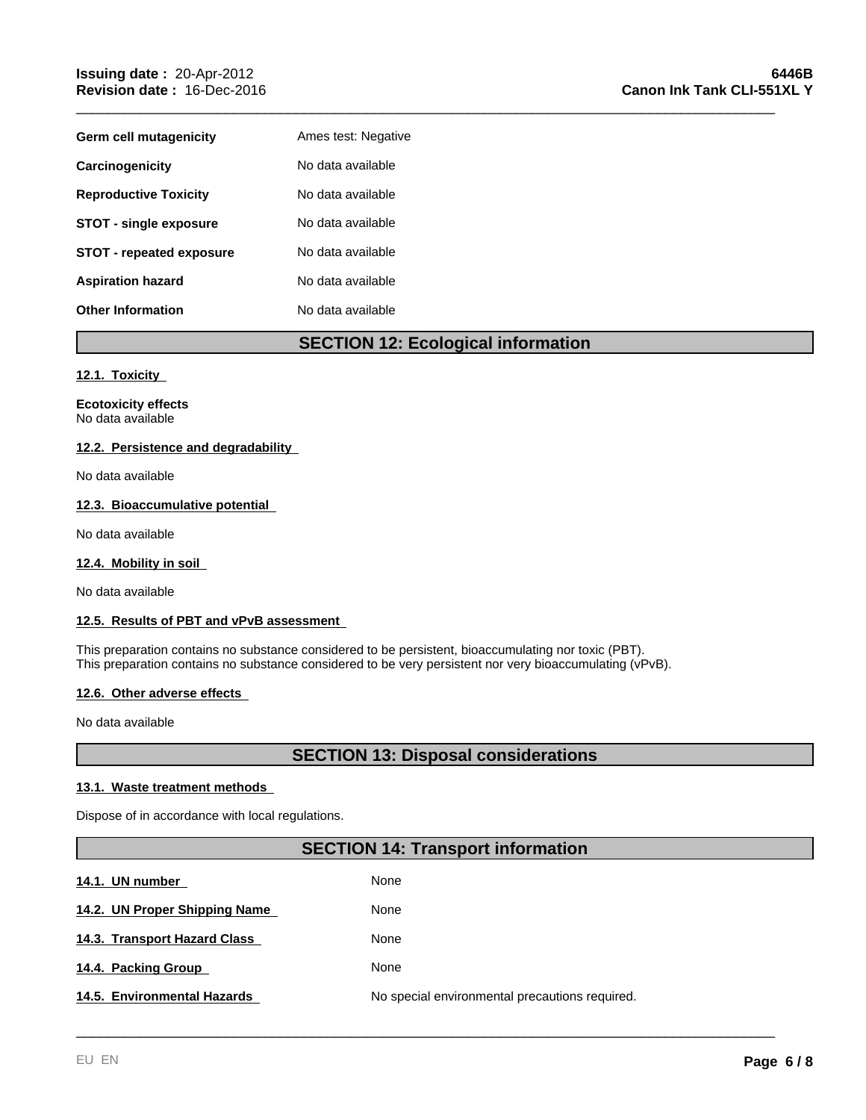| Germ cell mutagenicity          | Ames test: Negative |
|---------------------------------|---------------------|
| Carcinogenicity                 | No data available   |
| <b>Reproductive Toxicity</b>    | No data available   |
| <b>STOT - single exposure</b>   | No data available   |
| <b>STOT - repeated exposure</b> | No data available   |
| <b>Aspiration hazard</b>        | No data available   |
| <b>Other Information</b>        | No data available   |

## **SECTION 12: Ecological information**

\_\_\_\_\_\_\_\_\_\_\_\_\_\_\_\_\_\_\_\_\_\_\_\_\_\_\_\_\_\_\_\_\_\_\_\_\_\_\_\_\_\_\_\_\_\_\_\_\_\_\_\_\_\_\_\_\_\_\_\_\_\_\_\_\_\_\_\_\_\_\_\_\_\_\_\_\_\_\_\_\_\_\_\_\_\_\_\_\_

## **12.1. Toxicity**

**Ecotoxicity effects** No data available

## **12.2. Persistence and degradability**

No data available

## **12.3. Bioaccumulative potential**

No data available

## **12.4. Mobility in soil**

No data available

## **12.5. Results of PBT and vPvB assessment**

This preparation contains no substance considered to be persistent, bioaccumulating nor toxic (PBT). This preparation contains no substance considered to be very persistent nor very bioaccumulating (vPvB).

## **12.6. Other adverse effects**

No data available

## **SECTION 13: Disposal considerations**

## **13.1. Waste treatment methods**

Dispose of in accordance with local regulations.

## **SECTION 14: Transport information**

| 14.1. UN number               | None                                           |
|-------------------------------|------------------------------------------------|
| 14.2. UN Proper Shipping Name | None                                           |
| 14.3. Transport Hazard Class  | None                                           |
| 14.4. Packing Group           | None                                           |
| 14.5. Environmental Hazards   | No special environmental precautions required. |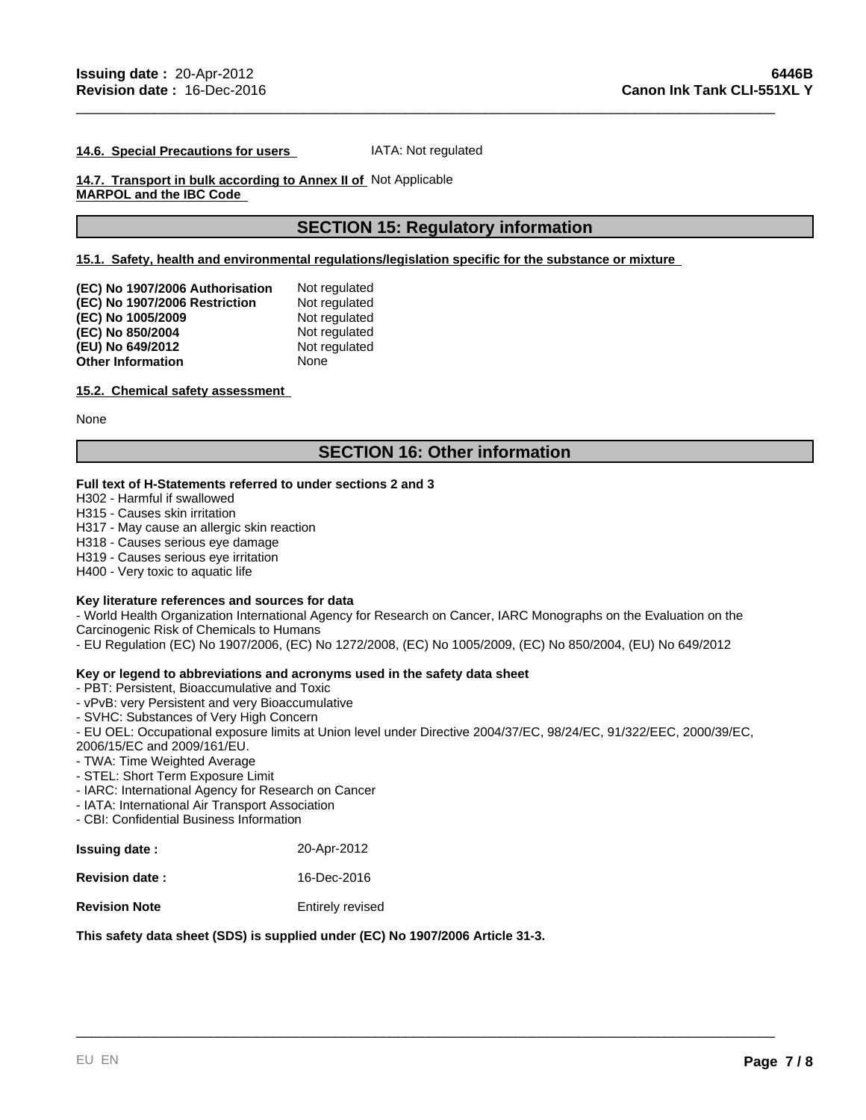#### **14.6. Special Precautions for users**  IATA: Not regulated

## **14.7. Transport in bulk according to Annex II of**  Not Applicable **MARPOL and the IBC Code**

## **SECTION 15: Regulatory information**

\_\_\_\_\_\_\_\_\_\_\_\_\_\_\_\_\_\_\_\_\_\_\_\_\_\_\_\_\_\_\_\_\_\_\_\_\_\_\_\_\_\_\_\_\_\_\_\_\_\_\_\_\_\_\_\_\_\_\_\_\_\_\_\_\_\_\_\_\_\_\_\_\_\_\_\_\_\_\_\_\_\_\_\_\_\_\_\_\_

## **15.1. Safety, health and environmental regulations/legislation specific for the substance or mixture**

| (EC) No 1907/2006 Authorisation | Not regulated |
|---------------------------------|---------------|
| (EC) No 1907/2006 Restriction   | Not regulated |
| (EC) No 1005/2009               | Not regulated |
| (EC) No 850/2004                | Not regulated |
| (EU) No 649/2012                | Not regulated |
| Other Information               | None          |

#### **15.2. Chemical safety assessment**

None

## **SECTION 16: Other information**

## **Full text of H-Statements referred to under sections 2 and 3**

H302 - Harmful if swallowed

H315 - Causes skin irritation

H317 - May cause an allergic skin reaction

H318 - Causes serious eye damage

H319 - Causes serious eye irritation

H400 - Very toxic to aquatic life

#### **Key literature references and sources for data**

- World Health Organization International Agency for Research on Cancer, IARC Monographs on the Evaluation on the Carcinogenic Risk of Chemicals to Humans

- EU Regulation (EC) No 1907/2006, (EC) No 1272/2008, (EC) No 1005/2009, (EC) No 850/2004, (EU) No 649/2012

## **Key or legend to abbreviations and acronyms used in the safety data sheet**

- PBT: Persistent, Bioaccumulative and Toxic

- vPvB: very Persistent and very Bioaccumulative

- SVHC: Substances of Very High Concern

- EU OEL: Occupational exposure limits at Union level under Directive 2004/37/EC, 98/24/EC, 91/322/EEC, 2000/39/EC,

\_\_\_\_\_\_\_\_\_\_\_\_\_\_\_\_\_\_\_\_\_\_\_\_\_\_\_\_\_\_\_\_\_\_\_\_\_\_\_\_\_\_\_\_\_\_\_\_\_\_\_\_\_\_\_\_\_\_\_\_\_\_\_\_\_\_\_\_\_\_\_\_\_\_\_\_\_\_\_\_\_\_\_\_\_\_\_\_\_

2006/15/EC and 2009/161/EU.

- TWA: Time Weighted Average

- STEL: Short Term Exposure Limit

- IARC: International Agency for Research on Cancer

- IATA: International Air Transport Association

- CBI: Confidential Business Information

| <b>Issuing date:</b>  | 20-Apr-2012             |
|-----------------------|-------------------------|
| <b>Revision date:</b> | 16-Dec-2016             |
| <b>Revision Note</b>  | <b>Entirely revised</b> |

## **This safety data sheet (SDS) is supplied under (EC) No 1907/2006 Article 31-3.**